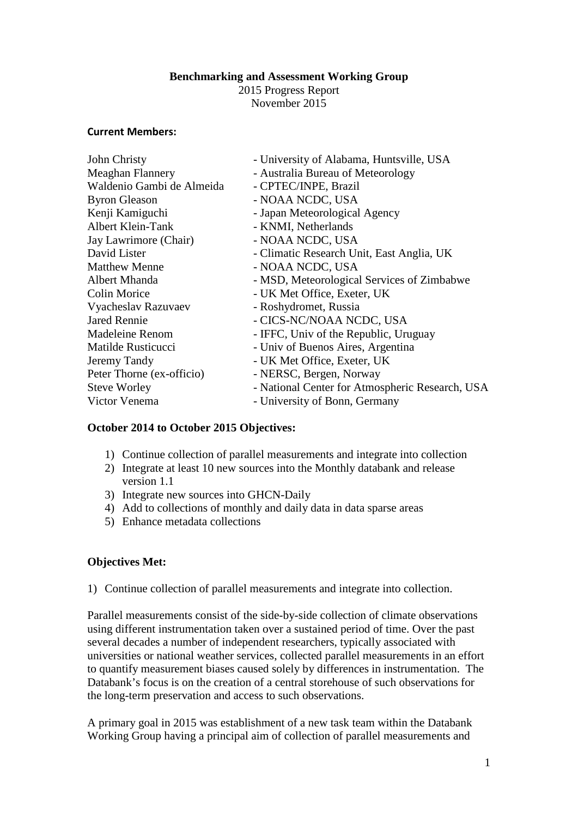## **Benchmarking and Assessment Working Group**

2015 Progress Report November 2015

#### **Current Members:**

| John Christy              | - University of Alabama, Huntsville, USA        |
|---------------------------|-------------------------------------------------|
| <b>Meaghan Flannery</b>   | - Australia Bureau of Meteorology               |
| Waldenio Gambi de Almeida | - CPTEC/INPE, Brazil                            |
| <b>Byron Gleason</b>      | - NOAA NCDC, USA                                |
| Kenji Kamiguchi           | - Japan Meteorological Agency                   |
| Albert Klein-Tank         | - KNMI, Netherlands                             |
| Jay Lawrimore (Chair)     | - NOAA NCDC, USA                                |
| David Lister              | - Climatic Research Unit, East Anglia, UK       |
| <b>Matthew Menne</b>      | - NOAA NCDC, USA                                |
| Albert Mhanda             | - MSD, Meteorological Services of Zimbabwe      |
| <b>Colin Morice</b>       | - UK Met Office, Exeter, UK                     |
| Vyacheslav Razuvaev       | - Roshydromet, Russia                           |
| <b>Jared Rennie</b>       | - CICS-NC/NOAA NCDC, USA                        |
| Madeleine Renom           | - IFFC, Univ of the Republic, Uruguay           |
| Matilde Rusticucci        | - Univ of Buenos Aires, Argentina               |
| Jeremy Tandy              | - UK Met Office, Exeter, UK                     |
| Peter Thorne (ex-officio) | - NERSC, Bergen, Norway                         |
| <b>Steve Worley</b>       | - National Center for Atmospheric Research, USA |
| Victor Venema             | - University of Bonn, Germany                   |

## **October 2014 to October 2015 Objectives:**

- 1) Continue collection of parallel measurements and integrate into collection
- 2) Integrate at least 10 new sources into the Monthly databank and release version 1.1
- 3) Integrate new sources into GHCN-Daily
- 4) Add to collections of monthly and daily data in data sparse areas
- 5) Enhance metadata collections

## **Objectives Met:**

1) Continue collection of parallel measurements and integrate into collection.

Parallel measurements consist of the side-by-side collection of climate observations using different instrumentation taken over a sustained period of time. Over the past several decades a number of independent researchers, typically associated with universities or national weather services, collected parallel measurements in an effort to quantify measurement biases caused solely by differences in instrumentation. The Databank's focus is on the creation of a central storehouse of such observations for the long-term preservation and access to such observations.

A primary goal in 2015 was establishment of a new task team within the Databank Working Group having a principal aim of collection of parallel measurements and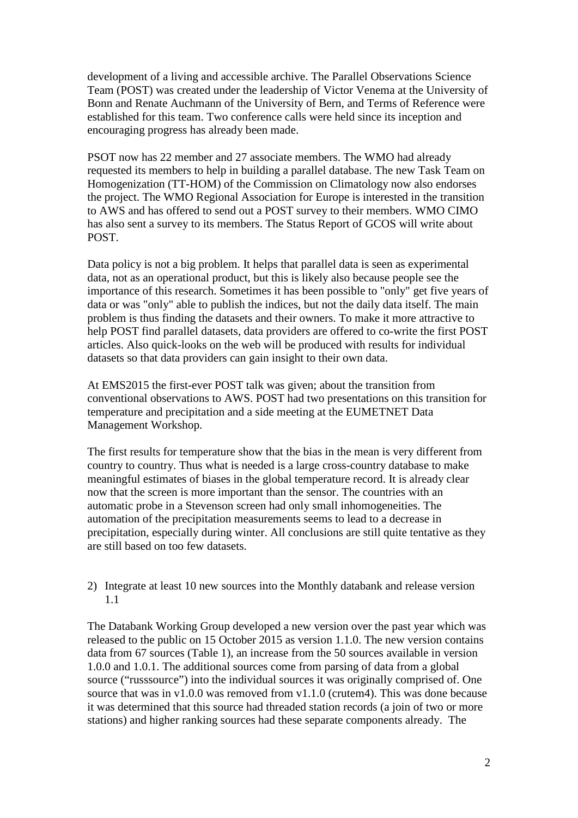development of a living and accessible archive. The Parallel Observations Science Team (POST) was created under the leadership of Victor Venema at the University of Bonn and Renate Auchmann of the University of Bern, and Terms of Reference were established for this team. Two conference calls were held since its inception and encouraging progress has already been made.

PSOT now has 22 member and 27 associate members. The WMO had already requested its members to help in building a parallel database. The new Task Team on Homogenization (TT-HOM) of the Commission on Climatology now also endorses the project. The WMO Regional Association for Europe is interested in the transition to AWS and has offered to send out a POST survey to their members. WMO CIMO has also sent a survey to its members. The Status Report of GCOS will write about POST.

Data policy is not a big problem. It helps that parallel data is seen as experimental data, not as an operational product, but this is likely also because people see the importance of this research. Sometimes it has been possible to "only" get five years of data or was "only" able to publish the indices, but not the daily data itself. The main problem is thus finding the datasets and their owners. To make it more attractive to help POST find parallel datasets, data providers are offered to co-write the first POST articles. Also quick-looks on the web will be produced with results for individual datasets so that data providers can gain insight to their own data.

At EMS2015 the first-ever POST talk was given; about the transition from conventional observations to AWS. POST had two presentations on this transition for temperature and precipitation and a side meeting at the EUMETNET Data Management Workshop.

The first results for temperature show that the bias in the mean is very different from country to country. Thus what is needed is a large cross-country database to make meaningful estimates of biases in the global temperature record. It is already clear now that the screen is more important than the sensor. The countries with an automatic probe in a Stevenson screen had only small inhomogeneities. The automation of the precipitation measurements seems to lead to a decrease in precipitation, especially during winter. All conclusions are still quite tentative as they are still based on too few datasets.

2) Integrate at least 10 new sources into the Monthly databank and release version 1.1

The Databank Working Group developed a new version over the past year which was released to the public on 15 October 2015 as version 1.1.0. The new version contains data from 67 sources (Table 1), an increase from the 50 sources available in version 1.0.0 and 1.0.1. The additional sources come from parsing of data from a global source ("russsource") into the individual sources it was originally comprised of. One source that was in v1.0.0 was removed from v1.1.0 (crutem4). This was done because it was determined that this source had threaded station records (a join of two or more stations) and higher ranking sources had these separate components already. The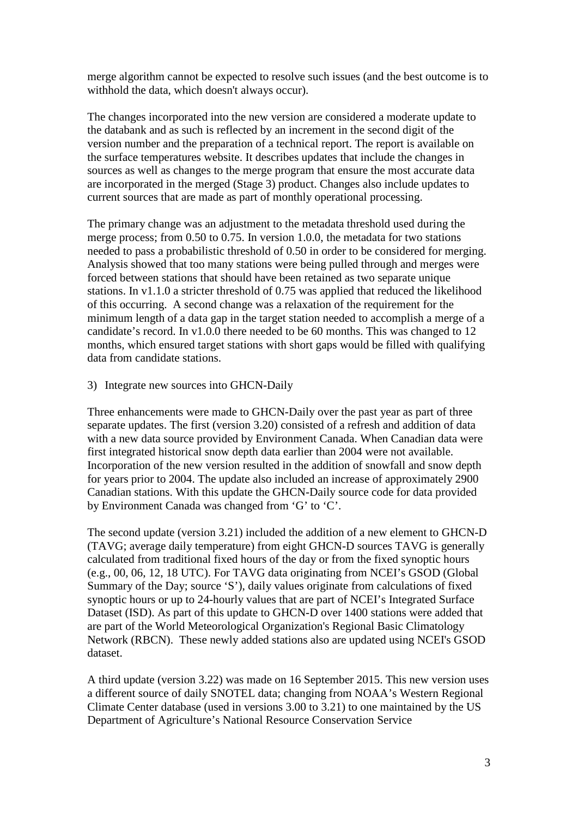merge algorithm cannot be expected to resolve such issues (and the best outcome is to withhold the data, which doesn't always occur).

The changes incorporated into the new version are considered a moderate update to the databank and as such is reflected by an increment in the second digit of the version number and the preparation of a technical report. The report is available on the surface temperatures website. It describes updates that include the changes in sources as well as changes to the merge program that ensure the most accurate data are incorporated in the merged (Stage 3) product. Changes also include updates to current sources that are made as part of monthly operational processing.

The primary change was an adjustment to the metadata threshold used during the merge process; from 0.50 to 0.75. In version 1.0.0, the metadata for two stations needed to pass a probabilistic threshold of 0.50 in order to be considered for merging. Analysis showed that too many stations were being pulled through and merges were forced between stations that should have been retained as two separate unique stations. In v1.1.0 a stricter threshold of 0.75 was applied that reduced the likelihood of this occurring. A second change was a relaxation of the requirement for the minimum length of a data gap in the target station needed to accomplish a merge of a candidate's record. In v1.0.0 there needed to be 60 months. This was changed to 12 months, which ensured target stations with short gaps would be filled with qualifying data from candidate stations.

#### 3) Integrate new sources into GHCN-Daily

Three enhancements were made to GHCN-Daily over the past year as part of three separate updates. The first (version 3.20) consisted of a refresh and addition of data with a new data source provided by Environment Canada. When Canadian data were first integrated historical snow depth data earlier than 2004 were not available. Incorporation of the new version resulted in the addition of snowfall and snow depth for years prior to 2004. The update also included an increase of approximately 2900 Canadian stations. With this update the GHCN-Daily source code for data provided by Environment Canada was changed from 'G' to 'C'.

The second update (version 3.21) included the addition of a new element to GHCN-D (TAVG; average daily temperature) from eight GHCN-D sources TAVG is generally calculated from traditional fixed hours of the day or from the fixed synoptic hours (e.g., 00, 06, 12, 18 UTC). For TAVG data originating from NCEI's GSOD (Global Summary of the Day; source 'S'), daily values originate from calculations of fixed synoptic hours or up to 24-hourly values that are part of NCEI's Integrated Surface Dataset (ISD). As part of this update to GHCN-D over 1400 stations were added that are part of the World Meteorological Organization's Regional Basic Climatology Network (RBCN). These newly added stations also are updated using NCEI's GSOD dataset.

A third update (version 3.22) was made on 16 September 2015. This new version uses a different source of daily SNOTEL data; changing from NOAA's Western Regional Climate Center database (used in versions 3.00 to 3.21) to one maintained by the US Department of Agriculture's National Resource Conservation Service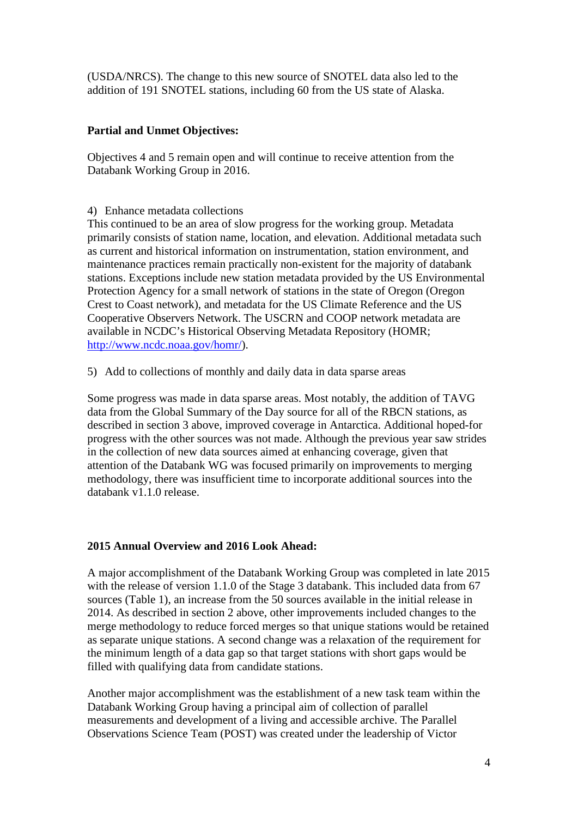(USDA/NRCS). The change to this new source of SNOTEL data also led to the addition of 191 SNOTEL stations, including 60 from the US state of Alaska.

# **Partial and Unmet Objectives:**

Objectives 4 and 5 remain open and will continue to receive attention from the Databank Working Group in 2016.

4) Enhance metadata collections

This continued to be an area of slow progress for the working group. Metadata primarily consists of station name, location, and elevation. Additional metadata such as current and historical information on instrumentation, station environment, and maintenance practices remain practically non-existent for the majority of databank stations. Exceptions include new station metadata provided by the US Environmental Protection Agency for a small network of stations in the state of Oregon (Oregon Crest to Coast network), and metadata for the US Climate Reference and the US Cooperative Observers Network. The USCRN and COOP network metadata are available in NCDC's Historical Observing Metadata Repository (HOMR; [http://www.ncdc.noaa.gov/homr/\)](http://www.ncdc.noaa.gov/homr/).

5) Add to collections of monthly and daily data in data sparse areas

Some progress was made in data sparse areas. Most notably, the addition of TAVG data from the Global Summary of the Day source for all of the RBCN stations, as described in section 3 above, improved coverage in Antarctica. Additional hoped-for progress with the other sources was not made. Although the previous year saw strides in the collection of new data sources aimed at enhancing coverage, given that attention of the Databank WG was focused primarily on improvements to merging methodology, there was insufficient time to incorporate additional sources into the databank v1.1.0 release.

# **2015 Annual Overview and 2016 Look Ahead:**

A major accomplishment of the Databank Working Group was completed in late 2015 with the release of version 1.1.0 of the Stage 3 databank. This included data from 67 sources (Table 1), an increase from the 50 sources available in the initial release in 2014. As described in section 2 above, other improvements included changes to the merge methodology to reduce forced merges so that unique stations would be retained as separate unique stations. A second change was a relaxation of the requirement for the minimum length of a data gap so that target stations with short gaps would be filled with qualifying data from candidate stations.

Another major accomplishment was the establishment of a new task team within the Databank Working Group having a principal aim of collection of parallel measurements and development of a living and accessible archive. The Parallel Observations Science Team (POST) was created under the leadership of Victor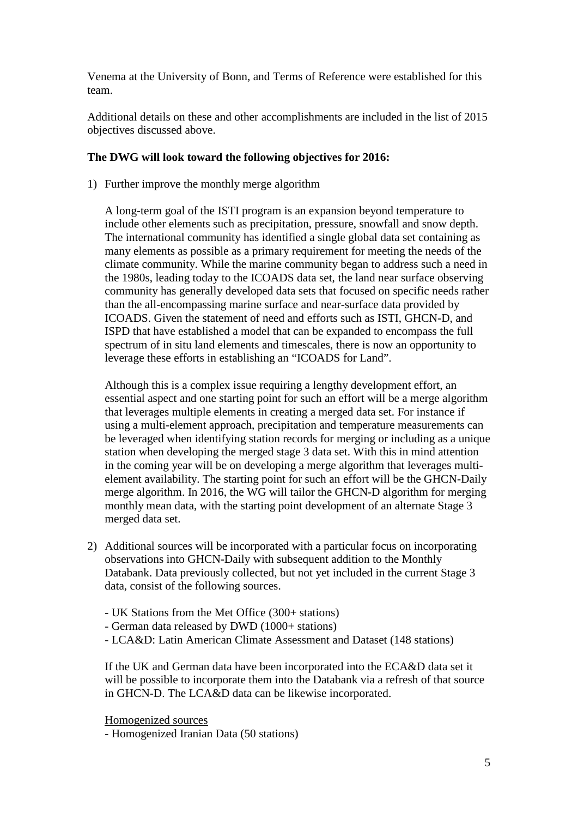Venema at the University of Bonn, and Terms of Reference were established for this team.

Additional details on these and other accomplishments are included in the list of 2015 objectives discussed above.

## **The DWG will look toward the following objectives for 2016:**

1) Further improve the monthly merge algorithm

A long-term goal of the ISTI program is an expansion beyond temperature to include other elements such as precipitation, pressure, snowfall and snow depth. The international community has identified a single global data set containing as many elements as possible as a primary requirement for meeting the needs of the climate community. While the marine community began to address such a need in the 1980s, leading today to the ICOADS data set, the land near surface observing community has generally developed data sets that focused on specific needs rather than the all-encompassing marine surface and near-surface data provided by ICOADS. Given the statement of need and efforts such as ISTI, GHCN-D, and ISPD that have established a model that can be expanded to encompass the full spectrum of in situ land elements and timescales, there is now an opportunity to leverage these efforts in establishing an "ICOADS for Land".

Although this is a complex issue requiring a lengthy development effort, an essential aspect and one starting point for such an effort will be a merge algorithm that leverages multiple elements in creating a merged data set. For instance if using a multi-element approach, precipitation and temperature measurements can be leveraged when identifying station records for merging or including as a unique station when developing the merged stage 3 data set. With this in mind attention in the coming year will be on developing a merge algorithm that leverages multielement availability. The starting point for such an effort will be the GHCN-Daily merge algorithm. In 2016, the WG will tailor the GHCN-D algorithm for merging monthly mean data, with the starting point development of an alternate Stage 3 merged data set.

- 2) Additional sources will be incorporated with a particular focus on incorporating observations into GHCN-Daily with subsequent addition to the Monthly Databank. Data previously collected, but not yet included in the current Stage 3 data, consist of the following sources.
	- UK Stations from the Met Office (300+ stations)
	- German data released by DWD (1000+ stations)
	- LCA&D: Latin American Climate Assessment and Dataset (148 stations)

If the UK and German data have been incorporated into the ECA&D data set it will be possible to incorporate them into the Databank via a refresh of that source in GHCN-D. The LCA&D data can be likewise incorporated.

Homogenized sources

- Homogenized Iranian Data (50 stations)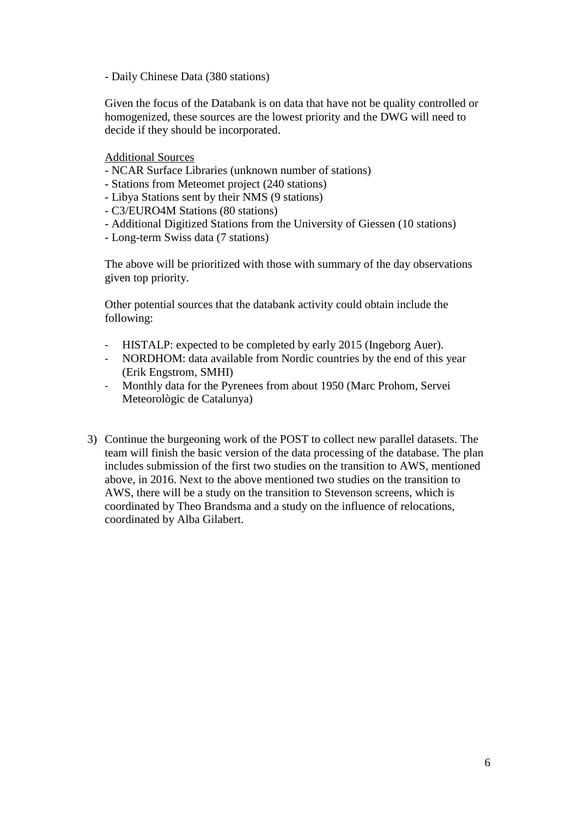- Daily Chinese Data (380 stations)

Given the focus of the Databank is on data that have not be quality controlled or homogenized, these sources are the lowest priority and the DWG will need to decide if they should be incorporated.

Additional Sources

- NCAR Surface Libraries (unknown number of stations)
- Stations from Meteomet project (240 stations)
- Libya Stations sent by their NMS (9 stations)
- C3/EURO4M Stations (80 stations)
- Additional Digitized Stations from the University of Giessen (10 stations)
- Long-term Swiss data (7 stations)

The above will be prioritized with those with summary of the day observations given top priority.

Other potential sources that the databank activity could obtain include the following:

- HISTALP: expected to be completed by early 2015 (Ingeborg Auer).
- NORDHOM: data available from Nordic countries by the end of this year (Erik Engstrom, SMHI)
- Monthly data for the Pyrenees from about 1950 (Marc Prohom, Servei Meteorològic de Catalunya)
- 3) Continue the burgeoning work of the POST to collect new parallel datasets. The team will finish the basic version of the data processing of the database. The plan includes submission of the first two studies on the transition to AWS, mentioned above, in 2016. Next to the above mentioned two studies on the transition to AWS, there will be a study on the transition to Stevenson screens, which is coordinated by Theo Brandsma and a study on the influence of relocations, coordinated by Alba Gilabert.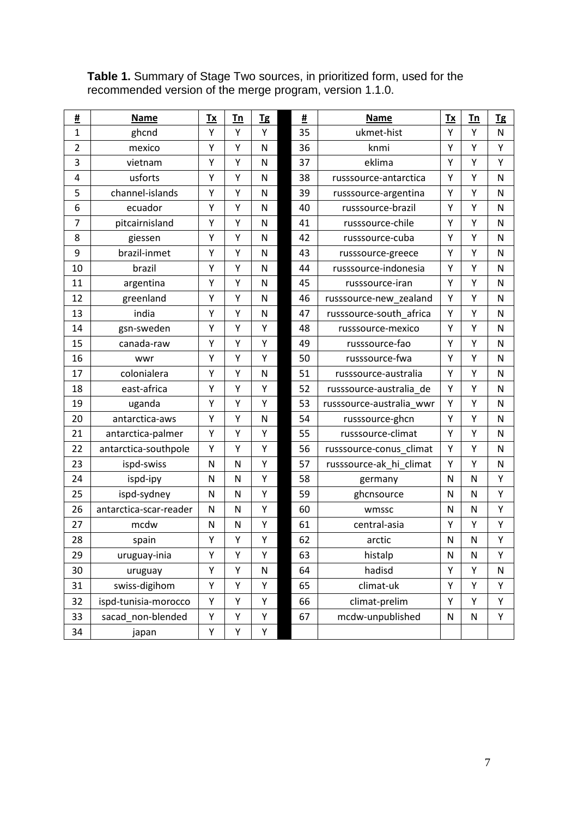| <u>#</u>       | <b>Name</b>            | $Tx$         | Tn           | <b>Tg</b>    | #  | <b>Name</b>              | Tx           | Tn | <b>Tg</b>    |
|----------------|------------------------|--------------|--------------|--------------|----|--------------------------|--------------|----|--------------|
| $\overline{1}$ | ghcnd                  | Y            | Y            | Y            | 35 | ukmet-hist               | Y            | Y  | $\mathsf{N}$ |
| $\overline{2}$ | mexico                 | Y            | Y            | N            | 36 | knmi                     | Υ            | Υ  | Υ            |
| 3              | vietnam                | Υ            | Υ            | $\mathsf{N}$ | 37 | eklima                   | Υ            | Υ  | Υ            |
| 4              | usforts                | Υ            | Υ            | N            | 38 | russsource-antarctica    | Υ            | Υ  | $\mathsf{N}$ |
| 5              | channel-islands        | Υ            | Υ            | $\mathsf{N}$ | 39 | russsource-argentina     | Υ            | Υ  | N            |
| 6              | ecuador                | Y            | Υ            | $\mathsf{N}$ | 40 | russsource-brazil        | Υ            | Υ  | N            |
| $\overline{7}$ | pitcairnisland         | Y            | Υ            | $\mathsf{N}$ | 41 | russsource-chile         | Υ            | Υ  | N            |
| 8              | giessen                | Υ            | Υ            | $\mathsf{N}$ | 42 | russsource-cuba          | Υ            | Υ  | $\mathsf{N}$ |
| 9              | brazil-inmet           | Υ            | Υ            | N            | 43 | russsource-greece        | Υ            | Υ  | $\mathsf{N}$ |
| 10             | brazil                 | Υ            | Υ            | N            | 44 | russsource-indonesia     | Υ            | Υ  | N            |
| 11             | argentina              | Υ            | Υ            | N            | 45 | russsource-iran          | Υ            | Υ  | N            |
| 12             | greenland              | Υ            | Υ            | $\mathsf{N}$ | 46 | russsource-new_zealand   | Υ            | Υ  | ${\sf N}$    |
| 13             | india                  | Y            | Υ            | $\mathsf{N}$ | 47 | russsource-south africa  | Υ            | Υ  | N            |
| 14             | gsn-sweden             | Υ            | Υ            | Υ            | 48 | russsource-mexico        | Υ            | Υ  | $\mathsf{N}$ |
| 15             | canada-raw             | Υ            | Υ            | Υ            | 49 | russsource-fao           | Υ            | Υ  | ${\sf N}$    |
| 16             | wwr                    | Υ            | Y            | Y            | 50 | russsource-fwa           | Υ            | Υ  | N            |
| 17             | colonialera            | Υ            | Υ            | $\mathsf{N}$ | 51 | russsource-australia     | Υ            | Υ  | ${\sf N}$    |
| 18             | east-africa            | Y            | Y            | Υ            | 52 | russsource-australia_de  | Υ            | Υ  | $\mathsf{N}$ |
| 19             | uganda                 | Υ            | Υ            | Υ            | 53 | russsource-australia_wwr | Υ            | Υ  | N            |
| 20             | antarctica-aws         | Υ            | Υ            | N            | 54 | russsource-ghcn          | Υ            | Υ  | $\mathsf{N}$ |
| 21             | antarctica-palmer      | Υ            | Y            | Υ            | 55 | russsource-climat        | Υ            | Υ  | $\mathsf{N}$ |
| 22             | antarctica-southpole   | Υ            | Υ            | Υ            | 56 | russsource-conus_climat  | Υ            | Υ  | N            |
| 23             | ispd-swiss             | N            | $\mathsf{N}$ | Υ            | 57 | russsource-ak_hi_climat  | Υ            | Υ  | $\mathsf{N}$ |
| 24             | ispd-ipy               | $\mathsf{N}$ | N            | Υ            | 58 | germany                  | $\mathsf{N}$ | N  | Υ            |
| 25             | ispd-sydney            | ${\sf N}$    | N            | Υ            | 59 | ghcnsource               | N            | N  | Υ            |
| 26             | antarctica-scar-reader | $\mathsf{N}$ | N            | Υ            | 60 | wmssc                    | N            | N  | Υ            |
| 27             | mcdw                   | N            | N            | Υ            | 61 | central-asia             | Υ            | Υ  | Υ            |
| 28             | spain                  | Y            | Υ            | Y            | 62 | arctic                   | N            | N  | Y            |
| 29             | uruguay-inia           | Υ            | Υ            | Υ            | 63 | histalp                  | N            | N  | Υ            |
| 30             | uruguay                | Υ            | Υ            | ${\sf N}$    | 64 | hadisd                   | Υ            | Υ  | ${\sf N}$    |
| 31             | swiss-digihom          | Υ            | Υ            | Υ            | 65 | climat-uk                | Υ            | Υ  | Υ            |
| 32             | ispd-tunisia-morocco   | Υ            | Υ            | Υ            | 66 | climat-prelim            | Υ            | Υ  | Υ            |
| 33             | sacad non-blended      | Υ            | Υ            | Υ            | 67 | mcdw-unpublished         | ${\sf N}$    | N  | Υ            |
| 34             | japan                  | Υ            | Υ            | Υ            |    |                          |              |    |              |

**Table 1.** Summary of Stage Two sources, in prioritized form, used for the recommended version of the merge program, version 1.1.0.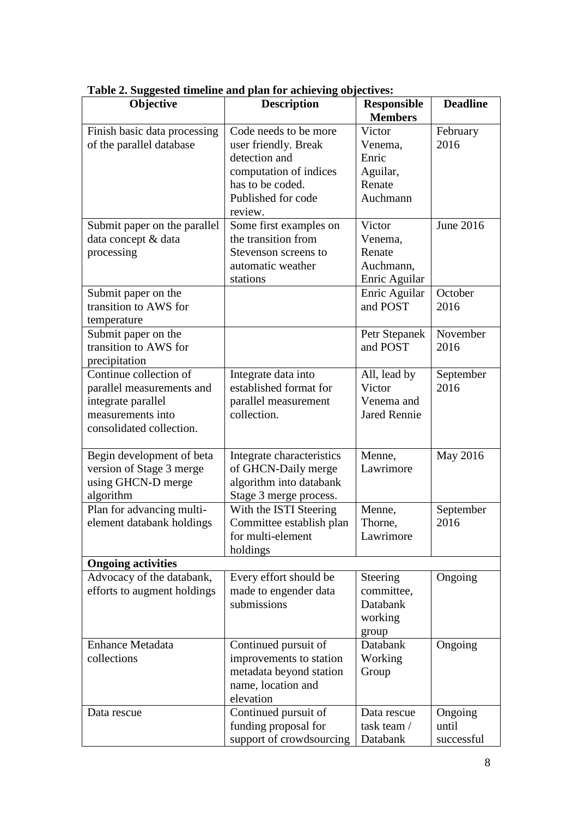| Objective                    | <b>Description</b>        | <b>Responsible</b>  | <b>Deadline</b> |
|------------------------------|---------------------------|---------------------|-----------------|
|                              |                           | <b>Members</b>      |                 |
| Finish basic data processing | Code needs to be more     | Victor              | February        |
| of the parallel database     | user friendly. Break      | Venema,             | 2016            |
|                              | detection and             | Enric               |                 |
|                              | computation of indices    | Aguilar,            |                 |
|                              | has to be coded.          | Renate              |                 |
|                              | Published for code        | Auchmann            |                 |
|                              | review.                   |                     |                 |
| Submit paper on the parallel | Some first examples on    | Victor              | June 2016       |
| data concept & data          | the transition from       | Venema,             |                 |
| processing                   | Stevenson screens to      | Renate              |                 |
|                              | automatic weather         | Auchmann,           |                 |
|                              | stations                  | Enric Aguilar       |                 |
| Submit paper on the          |                           | Enric Aguilar       | October         |
| transition to AWS for        |                           | and POST            | 2016            |
| temperature                  |                           |                     |                 |
| Submit paper on the          |                           | Petr Stepanek       | November        |
| transition to AWS for        |                           | and POST            | 2016            |
| precipitation                |                           |                     |                 |
| Continue collection of       | Integrate data into       | All, lead by        | September       |
| parallel measurements and    | established format for    | Victor              | 2016            |
| integrate parallel           | parallel measurement      | Venema and          |                 |
| measurements into            | collection.               | <b>Jared Rennie</b> |                 |
| consolidated collection.     |                           |                     |                 |
|                              |                           |                     |                 |
| Begin development of beta    | Integrate characteristics | Menne,              | May 2016        |
| version of Stage 3 merge     | of GHCN-Daily merge       | Lawrimore           |                 |
| using GHCN-D merge           | algorithm into databank   |                     |                 |
| algorithm                    | Stage 3 merge process.    |                     |                 |
| Plan for advancing multi-    | With the ISTI Steering    | Menne,              | September       |
| element databank holdings    | Committee establish plan  | Thorne,             | 2016            |
|                              | for multi-element         | Lawrimore           |                 |
|                              | holdings                  |                     |                 |
| <b>Ongoing activities</b>    |                           |                     |                 |
| Advocacy of the databank,    | Every effort should be    | Steering            | Ongoing         |
| efforts to augment holdings  | made to engender data     | committee,          |                 |
|                              | submissions               | Databank            |                 |
|                              |                           | working             |                 |
|                              |                           | group               |                 |
| <b>Enhance Metadata</b>      | Continued pursuit of      | Databank            | Ongoing         |
| collections                  | improvements to station   | Working             |                 |
|                              | metadata beyond station   | Group               |                 |
|                              | name, location and        |                     |                 |
|                              | elevation                 |                     |                 |
| Data rescue                  | Continued pursuit of      | Data rescue         | Ongoing         |
|                              | funding proposal for      | task team /         | until           |
|                              | support of crowdsourcing  | Databank            | successful      |

**Table 2. Suggested timeline and plan for achieving objectives:**